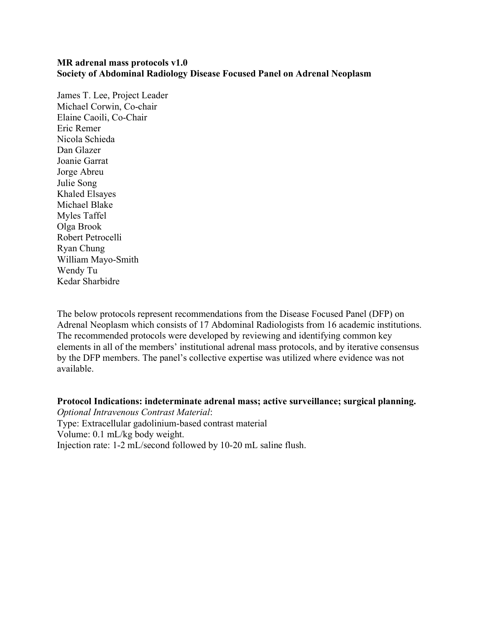## **MR adrenal mass protocols v1.0 Society of Abdominal Radiology Disease Focused Panel on Adrenal Neoplasm**

James T. Lee, Project Leader Michael Corwin, Co-chair Elaine Caoili, Co-Chair Eric Remer Nicola Schieda Dan Glazer Joanie Garrat Jorge Abreu Julie Song Khaled Elsayes Michael Blake Myles Taffel Olga Brook Robert Petrocelli Ryan Chung William Mayo-Smith Wendy Tu Kedar Sharbidre

The below protocols represent recommendations from the Disease Focused Panel (DFP) on Adrenal Neoplasm which consists of 17 Abdominal Radiologists from 16 academic institutions. The recommended protocols were developed by reviewing and identifying common key elements in all of the members' institutional adrenal mass protocols, and by iterative consensus by the DFP members. The panel's collective expertise was utilized where evidence was not available.

**Protocol Indications: indeterminate adrenal mass; active surveillance; surgical planning.** 

*Optional Intravenous Contrast Material*: Type: Extracellular gadolinium-based contrast material Volume: 0.1 mL/kg body weight. Injection rate: 1-2 mL/second followed by 10-20 mL saline flush.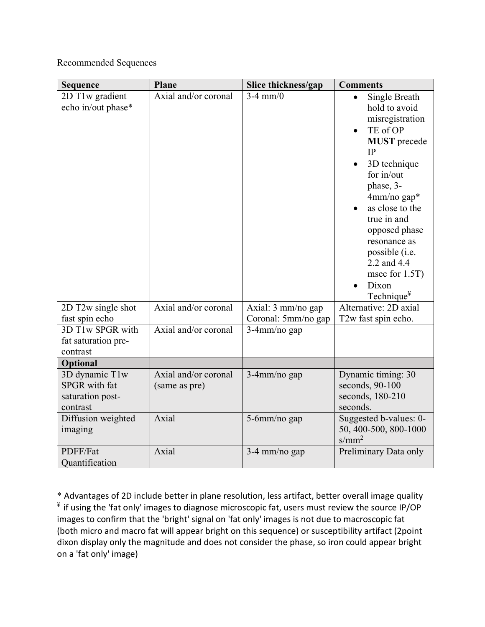## Recommended Sequences

| <b>Sequence</b>                                                        | <b>Plane</b>                          | Slice thickness/gap                       | <b>Comments</b>                                                                                                                                                                                                                                                                                                 |
|------------------------------------------------------------------------|---------------------------------------|-------------------------------------------|-----------------------------------------------------------------------------------------------------------------------------------------------------------------------------------------------------------------------------------------------------------------------------------------------------------------|
| 2D T1w gradient<br>echo in/out phase*                                  | Axial and/or coronal                  | $3-4$ mm/0                                | Single Breath<br>hold to avoid<br>misregistration<br>TE of OP<br><b>MUST</b> precede<br>IP<br>3D technique<br>for $in/out$<br>phase, 3-<br>4mm/no gap*<br>as close to the<br>true in and<br>opposed phase<br>resonance as<br>possible (i.e.<br>2.2 and 4.4<br>msec for 1.5T)<br>Dixon<br>Technique <sup>¥</sup> |
| 2D T2w single shot<br>fast spin echo                                   | Axial and/or coronal                  | Axial: 3 mm/no gap<br>Coronal: 5mm/no gap | Alternative: 2D axial<br>T2w fast spin echo.                                                                                                                                                                                                                                                                    |
| 3D T1w SPGR with<br>fat saturation pre-<br>contrast                    | Axial and/or coronal                  | 3-4mm/no gap                              |                                                                                                                                                                                                                                                                                                                 |
| Optional                                                               |                                       |                                           |                                                                                                                                                                                                                                                                                                                 |
| 3D dynamic T1w<br><b>SPGR</b> with fat<br>saturation post-<br>contrast | Axial and/or coronal<br>(same as pre) | 3-4mm/no gap                              | Dynamic timing: 30<br>seconds, 90-100<br>seconds, 180-210<br>seconds.                                                                                                                                                                                                                                           |
| Diffusion weighted<br>imaging                                          | Axial                                 | 5-6mm/no gap                              | Suggested b-values: 0-<br>50, 400-500, 800-1000<br>$s/mm^2$                                                                                                                                                                                                                                                     |
| PDFF/Fat<br>Ouantification                                             | Axial                                 | 3-4 mm/no gap                             | Preliminary Data only                                                                                                                                                                                                                                                                                           |

\* Advantages of 2D include better in plane resolution, less artifact, better overall image quality  $*$  if using the 'fat only' images to diagnose microscopic fat, users must review the source IP/OP images to confirm that the 'bright' signal on 'fat only' images is not due to macroscopic fat (both micro and macro fat will appear bright on this sequence) or susceptibility artifact (2point dixon display only the magnitude and does not consider the phase, so iron could appear bright on a 'fat only' image)